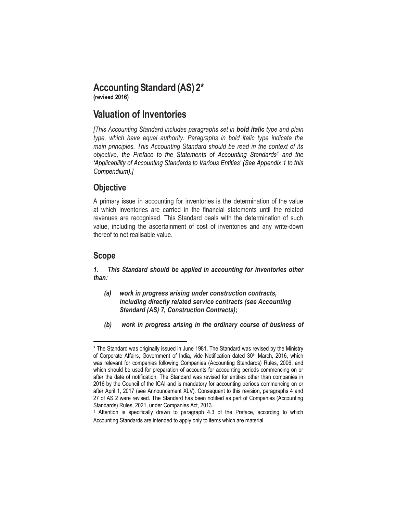#### **Accounting Standard (AS) 2\* (revised 2016)**

# **Valuation of Inventories**

*[This Accounting Standard includes paragraphs set in bold italic type and plain type, which have equal authority. Paragraphs in bold italic type indicate the main principles. This Accounting Standard should be read in the context of its objective, the Preface to the Statements of Accounting Standards<sup>1</sup> and the 'Applicability of Accounting Standards to Various Entities' (See Appendix 1 to this Compendium).]*

# **Objective**

A primary issue in accounting for inventories is the determination of the value at which inventories are carried in the financial statements until the related revenues are recognised. This Standard deals with the determination of such value, including the ascertainment of cost of inventories and any write-down thereof to net realisable value.

# **Scope**

 $\overline{a}$ 

*1. This Standard should be applied in accounting for inventories other than:*

- *(a) work in progress arising under construction contracts, including directly related service contracts (see Accounting Standard (AS) 7, Construction Contracts);*
- *(b) work in progress arising in the ordinary course of business of*

<sup>\*</sup> The Standard was originally issued in June 1981. The Standard was revised by the Ministry of Corporate Affairs, Government of India, vide Notification dated 30<sup>th</sup> March, 2016, which was relevant for companies following Companies (Accounting Standards) Rules, 2006, and which should be used for preparation of accounts for accounting periods commencing on or after the date of notification. The Standard was revised for entities other than companies in 2016 by the Council of the ICAI and is mandatory for accounting periods commencing on or after April 1, 2017 (see Announcement XLV). Consequent to this revision, paragraphs 4 and 27 of AS 2 were revised. The Standard has been notified as part of Companies (Accounting Standards) Rules, 2021, under Companies Act, 2013.

<sup>&</sup>lt;sup>1</sup> Attention is specifically drawn to paragraph 4.3 of the Preface, according to which Accounting Standards are intended to apply only to items which are material.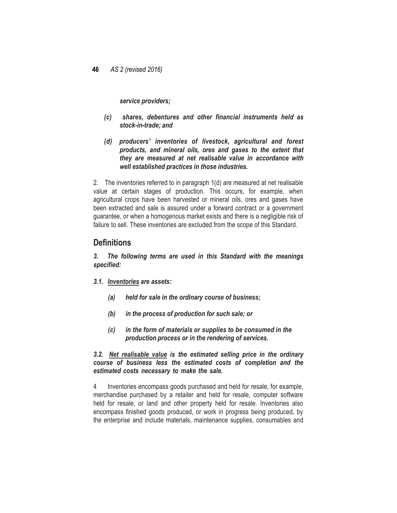**46** *AS 2 (revised 2016)*

*service providers;*

- *(c) shares, debentures and other financial instruments held as stock-in-trade; and*
- *(d) producers' inventories of livestock, agricultural and forest products, and mineral oils, ores and gases to the extent that they are measured at net realisable value in accordance with well established practices in those industries.*

2. The inventories referred to in paragraph 1(d) are measured at net realisable value at certain stages of production. This occurs, for example, when agricultural crops have been harvested or mineral oils, ores and gases have been extracted and sale is assured under a forward contract or a government guarantee, or when a homogenous market exists and there is a negligible risk of failure to sell. These inventories are excluded from the scope of this Standard.

# **Definitions**

*3. The following terms are used in this Standard with the meanings specified:*

- *3.1. Inventories are assets:*
	- *(a) held for sale in the ordinary course of business;*
	- *(b) in the process of production for such sale; or*
	- *(c) in the form of materials or supplies to be consumed in the production process or in the rendering of services.*

*3.2. Net realisable value is the estimated selling price in the ordinary course of business less the estimated costs of completion and the estimated costs necessary to make the sale.*

4 Inventories encompass goods purchased and held for resale, for example, merchandise purchased by a retailer and held for resale, computer software held for resale, or land and other property held for resale. Inventories also encompass finished goods produced, or work in progress being produced, by the enterprise and include materials, maintenance supplies, consumables and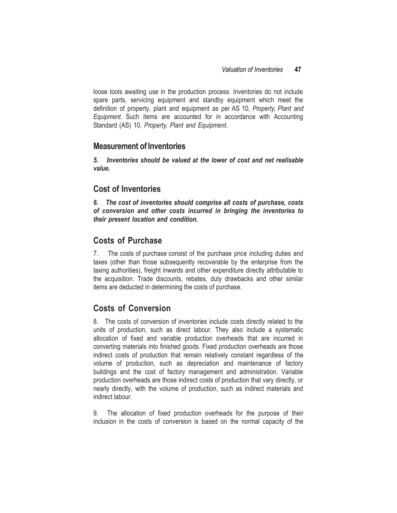loose tools awaiting use in the production process. Inventories do not include spare parts, servicing equipment and standby equipment which meet the definition of property, plant and equipment as per AS 10, *Property, Plant and Equipment*. Such items are accounted for in accordance with Accounting Standard (AS) 10, *Property, Plant and Equipment*.

# **Measurement of Inventories**

*5. Inventories should be valued at the lower of cost and net realisable value.*

# **Cost of Inventories**

*6. The cost of inventories should comprise all costs of purchase, costs of conversion and other costs incurred in bringing the inventories to their present location and condition.*

# **Costs of Purchase**

7. The costs of purchase consist of the purchase price including duties and taxes (other than those subsequently recoverable by the enterprise from the taxing authorities), freight inwards and other expenditure directly attributable to the acquisition. Trade discounts, rebates, duty drawbacks and other similar items are deducted in determining the costs of purchase.

# **Costs of Conversion**

8. The costs of conversion of inventories include costs directly related to the units of production, such as direct labour. They also include a systematic allocation of fixed and variable production overheads that are incurred in converting materials into finished goods. Fixed production overheads are those indirect costs of production that remain relatively constant regardless of the volume of production, such as depreciation and maintenance of factory buildings and the cost of factory management and administration. Variable production overheads are those indirect costs of production that vary directly, or nearly directly, with the volume of production, such as indirect materials and indirect labour.

9. The allocation of fixed production overheads for the purpose of their inclusion in the costs of conversion is based on the normal capacity of the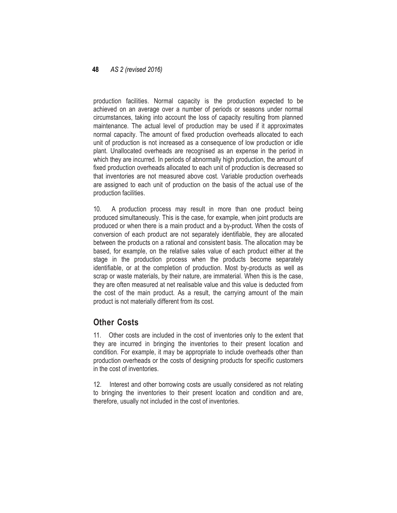#### **48** *AS 2 (revised 2016)*

production facilities. Normal capacity is the production expected to be achieved on an average over a number of periods or seasons under normal circumstances, taking into account the loss of capacity resulting from planned maintenance. The actual level of production may be used if it approximates normal capacity. The amount of fixed production overheads allocated to each unit of production is not increased as a consequence of low production or idle plant. Unallocated overheads are recognised as an expense in the period in which they are incurred. In periods of abnormally high production, the amount of fixed production overheads allocated to each unit of production is decreased so that inventories are not measured above cost. Variable production overheads are assigned to each unit of production on the basis of the actual use of the production facilities.

10. A production process may result in more than one product being produced simultaneously. This is the case, for example, when joint products are produced or when there is a main product and a by-product. When the costs of conversion of each product are not separately identifiable, they are allocated between the products on a rational and consistent basis. The allocation may be based, for example, on the relative sales value of each product either at the stage in the production process when the products become separately identifiable, or at the completion of production. Most by-products as well as scrap or waste materials, by their nature, are immaterial. When this is the case, they are often measured at net realisable value and this value is deducted from the cost of the main product. As a result, the carrying amount of the main product is not materially different from its cost.

# **Other Costs**

11. Other costs are included in the cost of inventories only to the extent that they are incurred in bringing the inventories to their present location and condition. For example, it may be appropriate to include overheads other than production overheads or the costs of designing products for specific customers in the cost of inventories.

12. Interest and other borrowing costs are usually considered as not relating to bringing the inventories to their present location and condition and are, therefore, usually not included in the cost of inventories.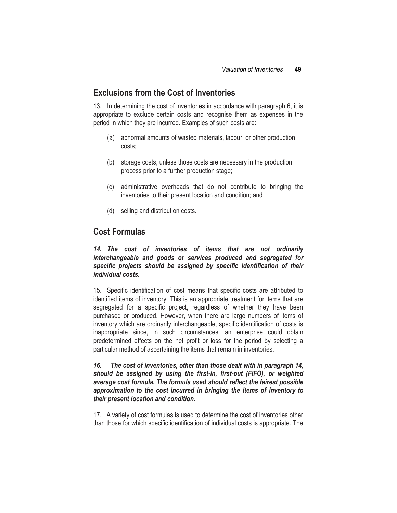# **Exclusions from the Cost of Inventories**

13. In determining the cost of inventories in accordance with paragraph 6, it is appropriate to exclude certain costs and recognise them as expenses in the period in which they are incurred. Examples of such costs are:

- (a) abnormal amounts of wasted materials, labour, or other production costs;
- (b) storage costs, unless those costs are necessary in the production process prior to a further production stage;
- (c) administrative overheads that do not contribute to bringing the inventories to their present location and condition; and
- (d) selling and distribution costs.

# **Cost Formulas**

*14. The cost of inventories of items that are not ordinarily interchangeable and goods or services produced and segregated for specific projects should be assigned by specific identification of their individual costs.*

15. Specific identification of cost means that specific costs are attributed to identified items of inventory. This is an appropriate treatment for items that are segregated for a specific project, regardless of whether they have been purchased or produced. However, when there are large numbers of items of inventory which are ordinarily interchangeable, specific identification of costs is inappropriate since, in such circumstances, an enterprise could obtain predetermined effects on the net profit or loss for the period by selecting a particular method of ascertaining the items that remain in inventories.

*16. The cost of inventories, other than those dealt with in paragraph 14, should be assigned by using the first-in, first-out (FIFO), or weighted average cost formula. The formula used should reflect the fairest possible approximation to the cost incurred in bringing the items of inventory to their present location and condition.*

17. A variety of cost formulas is used to determine the cost of inventories other than those for which specific identification of individual costs is appropriate. The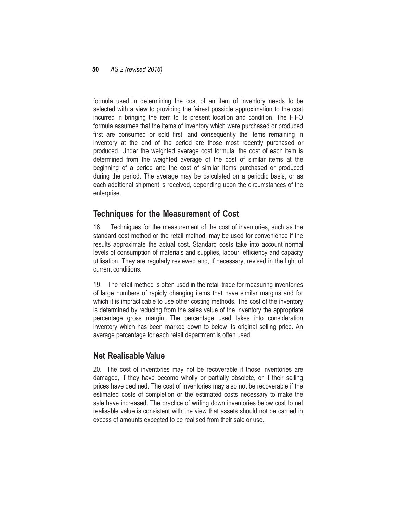#### **50** *AS 2 (revised 2016)*

formula used in determining the cost of an item of inventory needs to be selected with a view to providing the fairest possible approximation to the cost incurred in bringing the item to its present location and condition. The FIFO formula assumes that the items of inventory which were purchased or produced first are consumed or sold first, and consequently the items remaining in inventory at the end of the period are those most recently purchased or produced. Under the weighted average cost formula, the cost of each item is determined from the weighted average of the cost of similar items at the beginning of a period and the cost of similar items purchased or produced during the period. The average may be calculated on a periodic basis, or as each additional shipment is received, depending upon the circumstances of the enterprise.

### **Techniques for the Measurement of Cost**

18. Techniques for the measurement of the cost of inventories, such as the standard cost method or the retail method, may be used for convenience if the results approximate the actual cost. Standard costs take into account normal levels of consumption of materials and supplies, labour, efficiency and capacity utilisation. They are regularly reviewed and, if necessary, revised in the light of current conditions.

19. The retail method is often used in the retail trade for measuring inventories of large numbers of rapidly changing items that have similar margins and for which it is impracticable to use other costing methods. The cost of the inventory is determined by reducing from the sales value of the inventory the appropriate percentage gross margin. The percentage used takes into consideration inventory which has been marked down to below its original selling price. An average percentage for each retail department is often used.

# **Net Realisable Value**

20. The cost of inventories may not be recoverable if those inventories are damaged, if they have become wholly or partially obsolete, or if their selling prices have declined. The cost of inventories may also not be recoverable if the estimated costs of completion or the estimated costs necessary to make the sale have increased. The practice of writing down inventories below cost to net realisable value is consistent with the view that assets should not be carried in excess of amounts expected to be realised from their sale or use.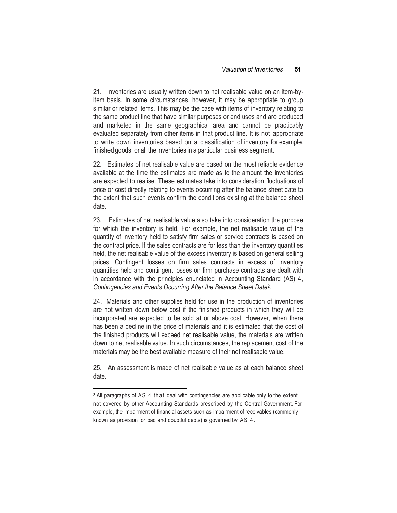21. Inventories are usually written down to net realisable value on an item-byitem basis. In some circumstances, however, it may be appropriate to group similar or related items. This may be the case with items of inventory relating to the same product line that have similar purposes or end uses and are produced and marketed in the same geographical area and cannot be practicably evaluated separately from other items in that product line. It is not appropriate to write down inventories based on a classification of inventory, for example, finished goods, or all the inventories in a particular business segment.

22. Estimates of net realisable value are based on the most reliable evidence available at the time the estimates are made as to the amount the inventories are expected to realise. These estimates take into consideration fluctuations of price or cost directly relating to events occurring after the balance sheet date to the extent that such events confirm the conditions existing at the balance sheet date.

23. Estimates of net realisable value also take into consideration the purpose for which the inventory is held. For example, the net realisable value of the quantity of inventory held to satisfy firm sales or service contracts is based on the contract price. If the sales contracts are for less than the inventory quantities held, the net realisable value of the excess inventory is based on general selling prices. Contingent losses on firm sales contracts in excess of inventory quantities held and contingent losses on firm purchase contracts are dealt with in accordance with the principles enunciated in Accounting Standard (AS) 4, *Contingencies and Events Occurring After the Balance Sheet Date*<sup>2</sup> .

24. Materials and other supplies held for use in the production of inventories are not written down below cost if the finished products in which they will be incorporated are expected to be sold at or above cost. However, when there has been a decline in the price of materials and it is estimated that the cost of the finished products will exceed net realisable value, the materials are written down to net realisable value. In such circumstances, the replacement cost of the materials may be the best available measure of their net realisable value.

25. An assessment is made of net realisable value as at each balance sheet date.

 $\overline{\phantom{a}}$ 

<sup>2</sup> All paragraphs of AS 4 that deal with contingencies are applicable only to the extent not covered by other Accounting Standards prescribed by the Central Government. For example, the impairment of financial assets such as impairment of receivables (commonly known as provision for bad and doubtful debts) is governed by AS 4.